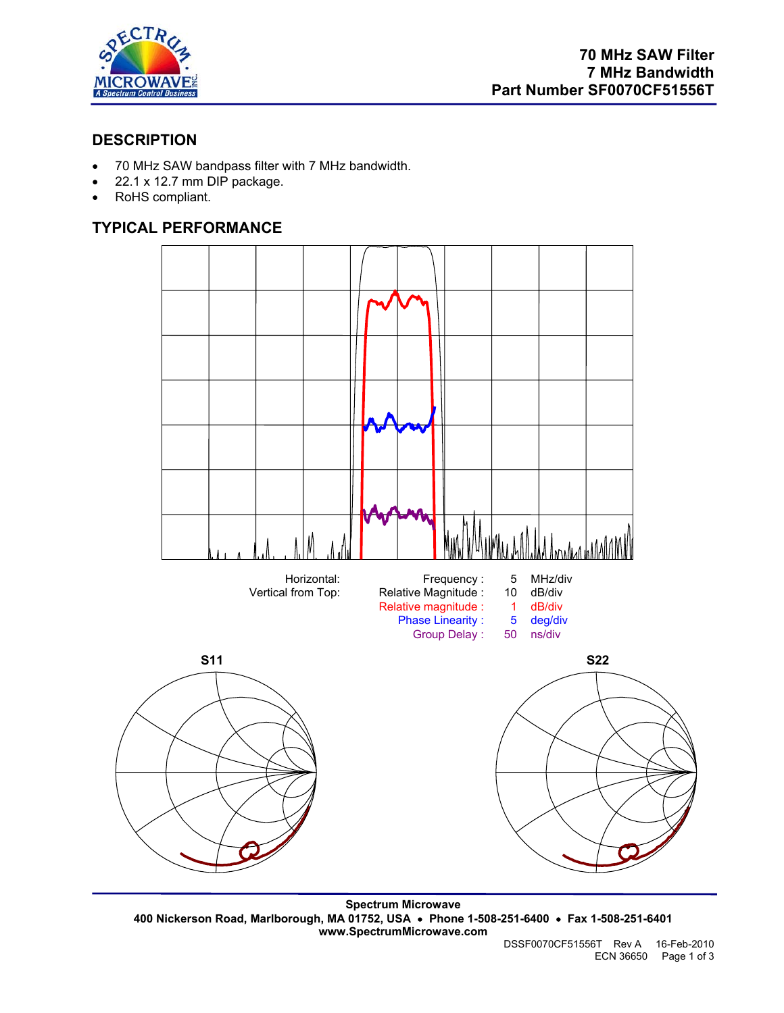

## **DESCRIPTION**

- 70 MHz SAW bandpass filter with 7 MHz bandwidth.
- 22.1 x 12.7 mm DIP package.
- RoHS compliant.

# **TYPICAL PERFORMANCE**



**Spectrum Microwave 400 Nickerson Road, Marlborough, MA 01752, USA** • **Phone 1-508-251-6400** • **Fax 1-508-251-6401 www.SpectrumMicrowave.com**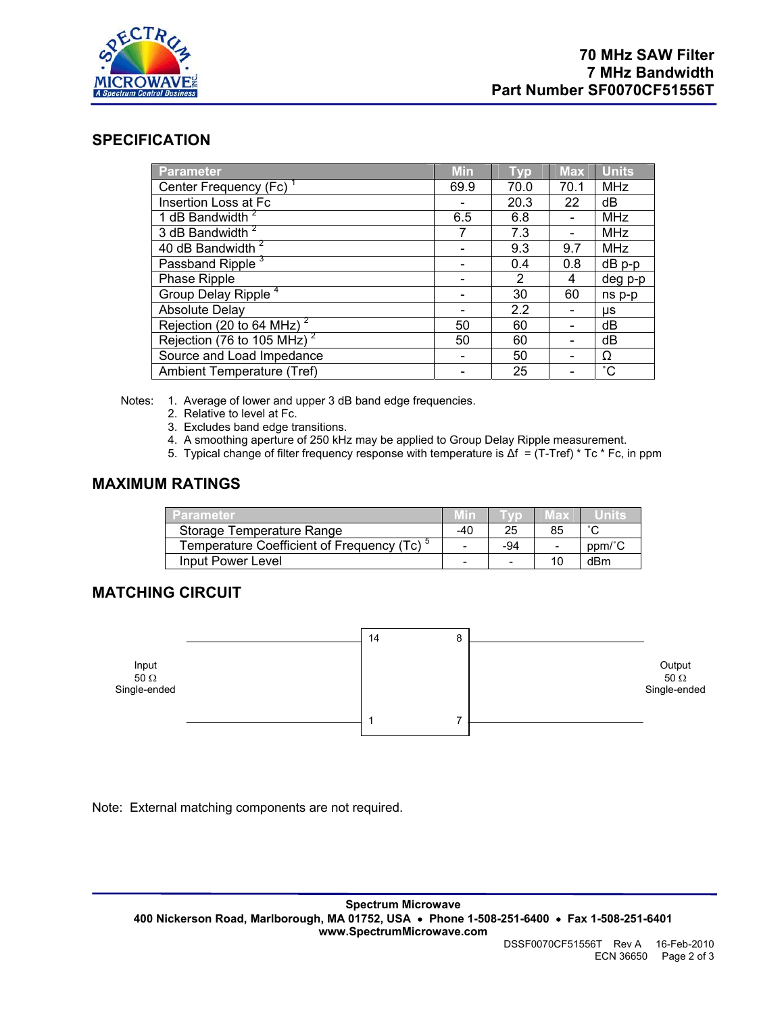

ECN 36650 Page 2 of 3

#### **SPECIFICATION**

| <b>Parameter</b>                      | <b>Min</b> | Typ  | <b>Max</b> | <b>Units</b> |
|---------------------------------------|------------|------|------------|--------------|
| Center Frequency (Fc) <sup>1</sup>    | 69.9       | 70.0 | 70.1       | <b>MHz</b>   |
| Insertion Loss at Fc                  |            | 20.3 | 22         | dB           |
| 1 dB Bandwidth <sup>2</sup>           | 6.5        | 6.8  |            | MHz          |
| 3 dB Bandwidth <sup>2</sup>           | 7          | 7.3  |            | <b>MHz</b>   |
| 40 dB Bandwidth <sup>2</sup>          |            | 9.3  | 9.7        | <b>MHz</b>   |
| Passband Ripple <sup>3</sup>          |            | 0.4  | 0.8        | dB p-p       |
| Phase Ripple                          |            | 2    | 4          | deg p-p      |
| Group Delay Ripple <sup>4</sup>       |            | 30   | 60         | ns p-p       |
| <b>Absolute Delay</b>                 |            | 2.2  |            | μs           |
| Rejection (20 to 64 MHz) <sup>2</sup> | 50         | 60   |            | dB           |
| Rejection (76 to 105 MHz) $^2$        | 50         | 60   |            | dB           |
| Source and Load Impedance             |            | 50   |            | Ω            |
| Ambient Temperature (Tref)            |            | 25   |            | $^{\circ}$ C |

Notes: 1. Average of lower and upper 3 dB band edge frequencies.

- 2. Relative to level at Fc.
- 3. Excludes band edge transitions.
- 4. A smoothing aperture of 250 kHz may be applied to Group Delay Ripple measurement.
- 5. Typical change of filter frequency response with temperature is ∆f = (T-Tref) \* Tc \* Fc, in ppm

#### **MAXIMUM RATINGS**

| Parameter                                              |     |                          | иах |        |
|--------------------------------------------------------|-----|--------------------------|-----|--------|
| Storage Temperature Range                              | -40 | 25                       | 85  | $\sim$ |
| Temperature Coefficient of Frequency (Tc) <sup>5</sup> |     | -94                      |     | ppm/c  |
| Input Power Level                                      | -   | $\overline{\phantom{a}}$ | 10  | dBm    |

## **MATCHING CIRCUIT**



Note: External matching components are not required.